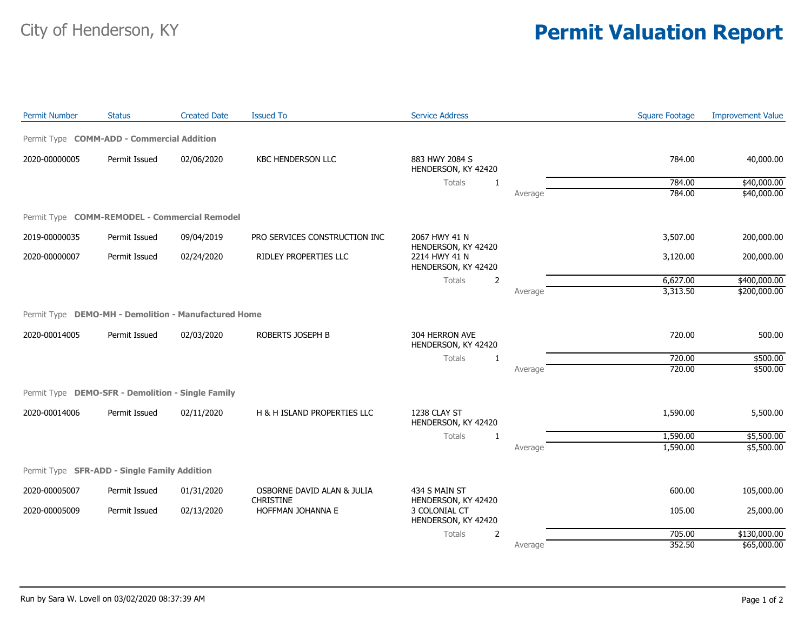## City of Henderson, KY **Permit Valuation Report**

| Permit Type <b>COMM-ADD - Commercial Addition</b><br>2020-00000005<br>Permit Issued<br><b>KBC HENDERSON LLC</b><br>883 HWY 2084 S<br>02/06/2020<br>784.00<br>40,000.00<br>HENDERSON, KY 42420<br>\$40,000.00<br>784.00<br>Totals<br>1<br>784.00<br>\$40,000.00<br>Average<br>Permit Type COMM-REMODEL - Commercial Remodel<br>3,507.00<br>2019-00000035<br>Permit Issued<br>09/04/2019<br>PRO SERVICES CONSTRUCTION INC<br>2067 HWY 41 N<br>200,000.00<br>HENDERSON, KY 42420<br>RIDLEY PROPERTIES LLC<br>2214 HWY 41 N<br>2020-00000007<br>Permit Issued<br>02/24/2020<br>3,120.00<br>200,000.00<br>HENDERSON, KY 42420<br>6,627.00<br>\$400,000.00<br>Totals<br>2<br>3,313.50<br>\$200,000.00<br>Average<br>Permit Type DEMO-MH - Demolition - Manufactured Home<br>Permit Issued<br>720.00<br>2020-00014005<br>02/03/2020<br>ROBERTS JOSEPH B<br>304 HERRON AVE<br>500.00<br>HENDERSON, KY 42420<br>720.00<br>\$500.00<br>Totals<br>1<br>720.00<br>\$500.00<br>Average<br>Permit Type DEMO-SFR - Demolition - Single Family<br>1238 CLAY ST<br>2020-00014006<br>Permit Issued<br>02/11/2020<br>H & H ISLAND PROPERTIES LLC<br>1,590.00<br>5,500.00<br>HENDERSON, KY 42420<br>Totals<br>1,590.00<br>\$5,500.00<br>1<br>1,590.00<br>\$5,500.00<br>Average<br>Permit Type SFR-ADD - Single Family Addition<br>2020-00005007<br>Permit Issued<br>01/31/2020<br>OSBORNE DAVID ALAN & JULIA<br>434 S MAIN ST<br>600.00<br>105,000.00<br><b>CHRISTINE</b><br>HENDERSON, KY 42420<br>3 COLONIAL CT<br>105.00<br>25,000.00<br>2020-00005009<br>Permit Issued<br>02/13/2020<br>HOFFMAN JOHANNA E<br>HENDERSON, KY 42420<br>\$130,000.00<br>705.00<br>Totals<br>2<br>352.50 | <b>Permit Number</b> | <b>Status</b> | <b>Created Date</b> | <b>Issued To</b> | <b>Service Address</b> |         | <b>Square Footage</b> | <b>Improvement Value</b> |
|---------------------------------------------------------------------------------------------------------------------------------------------------------------------------------------------------------------------------------------------------------------------------------------------------------------------------------------------------------------------------------------------------------------------------------------------------------------------------------------------------------------------------------------------------------------------------------------------------------------------------------------------------------------------------------------------------------------------------------------------------------------------------------------------------------------------------------------------------------------------------------------------------------------------------------------------------------------------------------------------------------------------------------------------------------------------------------------------------------------------------------------------------------------------------------------------------------------------------------------------------------------------------------------------------------------------------------------------------------------------------------------------------------------------------------------------------------------------------------------------------------------------------------------------------------------------------------------------------------------------------------------------------------------------|----------------------|---------------|---------------------|------------------|------------------------|---------|-----------------------|--------------------------|
|                                                                                                                                                                                                                                                                                                                                                                                                                                                                                                                                                                                                                                                                                                                                                                                                                                                                                                                                                                                                                                                                                                                                                                                                                                                                                                                                                                                                                                                                                                                                                                                                                                                                     |                      |               |                     |                  |                        |         |                       |                          |
|                                                                                                                                                                                                                                                                                                                                                                                                                                                                                                                                                                                                                                                                                                                                                                                                                                                                                                                                                                                                                                                                                                                                                                                                                                                                                                                                                                                                                                                                                                                                                                                                                                                                     |                      |               |                     |                  |                        |         |                       |                          |
|                                                                                                                                                                                                                                                                                                                                                                                                                                                                                                                                                                                                                                                                                                                                                                                                                                                                                                                                                                                                                                                                                                                                                                                                                                                                                                                                                                                                                                                                                                                                                                                                                                                                     |                      |               |                     |                  |                        |         |                       |                          |
|                                                                                                                                                                                                                                                                                                                                                                                                                                                                                                                                                                                                                                                                                                                                                                                                                                                                                                                                                                                                                                                                                                                                                                                                                                                                                                                                                                                                                                                                                                                                                                                                                                                                     |                      |               |                     |                  |                        |         |                       |                          |
|                                                                                                                                                                                                                                                                                                                                                                                                                                                                                                                                                                                                                                                                                                                                                                                                                                                                                                                                                                                                                                                                                                                                                                                                                                                                                                                                                                                                                                                                                                                                                                                                                                                                     |                      |               |                     |                  |                        |         |                       |                          |
|                                                                                                                                                                                                                                                                                                                                                                                                                                                                                                                                                                                                                                                                                                                                                                                                                                                                                                                                                                                                                                                                                                                                                                                                                                                                                                                                                                                                                                                                                                                                                                                                                                                                     |                      |               |                     |                  |                        |         |                       |                          |
|                                                                                                                                                                                                                                                                                                                                                                                                                                                                                                                                                                                                                                                                                                                                                                                                                                                                                                                                                                                                                                                                                                                                                                                                                                                                                                                                                                                                                                                                                                                                                                                                                                                                     |                      |               |                     |                  |                        |         |                       |                          |
|                                                                                                                                                                                                                                                                                                                                                                                                                                                                                                                                                                                                                                                                                                                                                                                                                                                                                                                                                                                                                                                                                                                                                                                                                                                                                                                                                                                                                                                                                                                                                                                                                                                                     |                      |               |                     |                  |                        |         |                       |                          |
|                                                                                                                                                                                                                                                                                                                                                                                                                                                                                                                                                                                                                                                                                                                                                                                                                                                                                                                                                                                                                                                                                                                                                                                                                                                                                                                                                                                                                                                                                                                                                                                                                                                                     |                      |               |                     |                  |                        |         |                       |                          |
|                                                                                                                                                                                                                                                                                                                                                                                                                                                                                                                                                                                                                                                                                                                                                                                                                                                                                                                                                                                                                                                                                                                                                                                                                                                                                                                                                                                                                                                                                                                                                                                                                                                                     |                      |               |                     |                  |                        |         |                       |                          |
|                                                                                                                                                                                                                                                                                                                                                                                                                                                                                                                                                                                                                                                                                                                                                                                                                                                                                                                                                                                                                                                                                                                                                                                                                                                                                                                                                                                                                                                                                                                                                                                                                                                                     |                      |               |                     |                  |                        |         |                       |                          |
|                                                                                                                                                                                                                                                                                                                                                                                                                                                                                                                                                                                                                                                                                                                                                                                                                                                                                                                                                                                                                                                                                                                                                                                                                                                                                                                                                                                                                                                                                                                                                                                                                                                                     |                      |               |                     |                  |                        |         |                       |                          |
|                                                                                                                                                                                                                                                                                                                                                                                                                                                                                                                                                                                                                                                                                                                                                                                                                                                                                                                                                                                                                                                                                                                                                                                                                                                                                                                                                                                                                                                                                                                                                                                                                                                                     |                      |               |                     |                  |                        |         |                       |                          |
|                                                                                                                                                                                                                                                                                                                                                                                                                                                                                                                                                                                                                                                                                                                                                                                                                                                                                                                                                                                                                                                                                                                                                                                                                                                                                                                                                                                                                                                                                                                                                                                                                                                                     |                      |               |                     |                  |                        |         |                       |                          |
|                                                                                                                                                                                                                                                                                                                                                                                                                                                                                                                                                                                                                                                                                                                                                                                                                                                                                                                                                                                                                                                                                                                                                                                                                                                                                                                                                                                                                                                                                                                                                                                                                                                                     |                      |               |                     |                  |                        |         |                       |                          |
|                                                                                                                                                                                                                                                                                                                                                                                                                                                                                                                                                                                                                                                                                                                                                                                                                                                                                                                                                                                                                                                                                                                                                                                                                                                                                                                                                                                                                                                                                                                                                                                                                                                                     |                      |               |                     |                  |                        |         |                       |                          |
|                                                                                                                                                                                                                                                                                                                                                                                                                                                                                                                                                                                                                                                                                                                                                                                                                                                                                                                                                                                                                                                                                                                                                                                                                                                                                                                                                                                                                                                                                                                                                                                                                                                                     |                      |               |                     |                  |                        |         |                       |                          |
|                                                                                                                                                                                                                                                                                                                                                                                                                                                                                                                                                                                                                                                                                                                                                                                                                                                                                                                                                                                                                                                                                                                                                                                                                                                                                                                                                                                                                                                                                                                                                                                                                                                                     |                      |               |                     |                  |                        |         |                       |                          |
|                                                                                                                                                                                                                                                                                                                                                                                                                                                                                                                                                                                                                                                                                                                                                                                                                                                                                                                                                                                                                                                                                                                                                                                                                                                                                                                                                                                                                                                                                                                                                                                                                                                                     |                      |               |                     |                  |                        |         |                       |                          |
|                                                                                                                                                                                                                                                                                                                                                                                                                                                                                                                                                                                                                                                                                                                                                                                                                                                                                                                                                                                                                                                                                                                                                                                                                                                                                                                                                                                                                                                                                                                                                                                                                                                                     |                      |               |                     |                  |                        |         |                       |                          |
|                                                                                                                                                                                                                                                                                                                                                                                                                                                                                                                                                                                                                                                                                                                                                                                                                                                                                                                                                                                                                                                                                                                                                                                                                                                                                                                                                                                                                                                                                                                                                                                                                                                                     |                      |               |                     |                  |                        |         |                       |                          |
|                                                                                                                                                                                                                                                                                                                                                                                                                                                                                                                                                                                                                                                                                                                                                                                                                                                                                                                                                                                                                                                                                                                                                                                                                                                                                                                                                                                                                                                                                                                                                                                                                                                                     |                      |               |                     |                  |                        | Average |                       | \$65,000.00              |